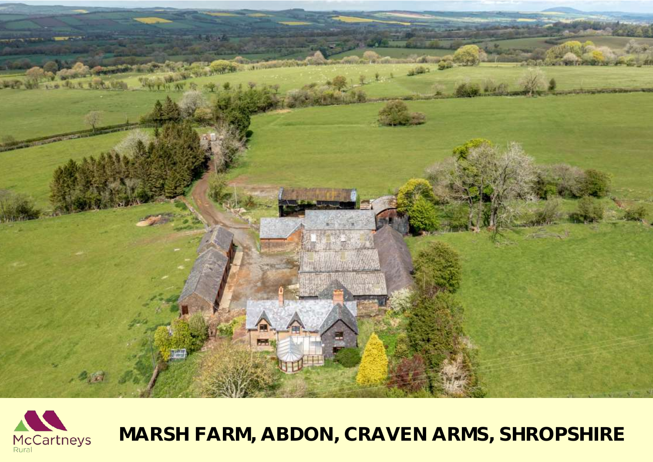



MARSH FARM, ABDON, CRAVEN ARMS, SHROPSHIRE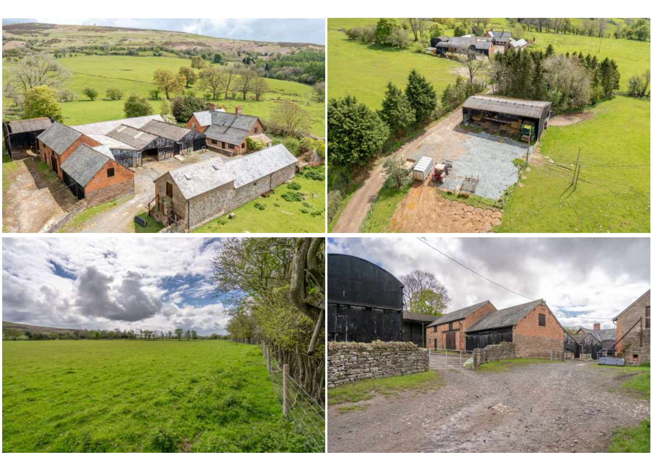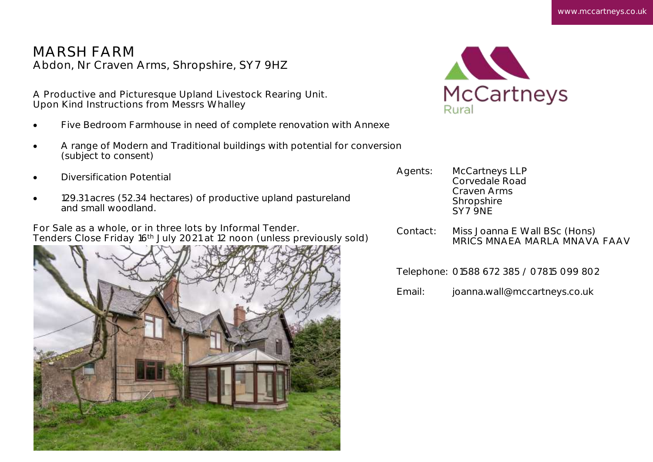# MARSH FARM Abdon, Nr Craven Arms, Shropshire, SY7 9HZ

A Productive and Picturesque Upland Livestock Rearing Unit. Upon Kind Instructions from Messrs Whalley

- Five Bedroom Farmhouse in need of complete renovation with Annexe
- A range of Modern and Traditional buildings with potential for conversion *(subject to consent)*
- Diversification Potential
- 129.31 acres (52.34 hectares) of productive upland pastureland and small woodland.

For Sale as a whole, or in three lots by Informal Tender. Tenders Close Friday 16th July 2021 at 12 noon *(unless previously sold)*





Agents: McCartneys LLP Corvedale Road Craven Arms Shropshire SY7 9NE

Contact: Miss Joanna E Wall BSc (Hons) MRICS MNAEA MARLA MNAVA FAAV

Telephone: 01588 672 385 / 07815 099 802

Email: joanna.wall@mccartneys.co.uk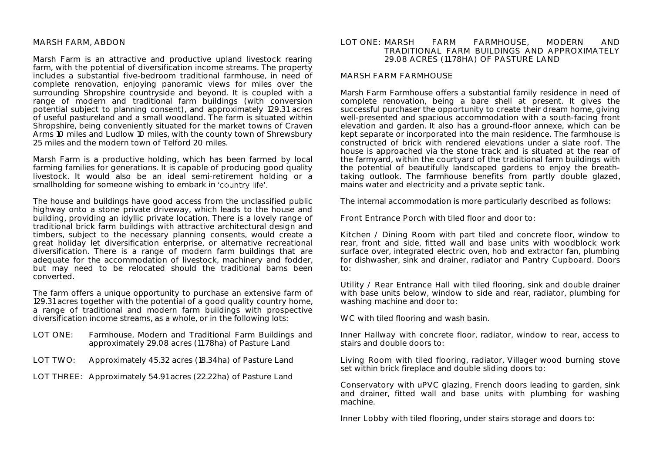## MARSH FARM, ABDON

Marsh Farm is an attractive and productive upland livestock rearing farm, with the potential of diversification income streams. The property includes a substantial five-bedroom traditional farmhouse, in need of complete renovation, enjoying panoramic views for miles over the surrounding Shropshire countryside and beyond. It is coupled with a range of modern and traditional farm buildings (with conversion potential subject to planning consent), and approximately 129.31 acres of useful pastureland and a small woodland. The farm is situated within Shropshire, being conveniently situated for the market towns of Craven Arms 10 miles and Ludlow 10 miles, with the county town of Shrewsbury 25 miles and the modern town of Telford 20 miles.

Marsh Farm is a productive holding, which has been farmed by local farming families for generations. It is capable of producing good quality livestock. It would also be an ideal semi-retirement holding or a smallholding for someone wishing to embark in 'country life'.

The house and buildings have good access from the unclassified public highway onto a stone private driveway, which leads to the house and building, providing an idyllic private location. There is a lovely range of traditional brick farm buildings with attractive architectural design and timbers, subject to the necessary planning consents, would create a great holiday let diversification enterprise, or alternative recreational diversification. There is a range of modern farm buildings that are adequate for the accommodation of livestock, machinery and fodder, but may need to be relocated should the traditional barns been converted.

The farm offers a unique opportunity to purchase an extensive farm of 129.31 acres together with the potential of a good quality country home, a range of traditional and modern farm buildings with prospective diversification income streams, as a whole, or in the following lots:

- LOT ONE: Farmhouse, Modern and Traditional Farm Buildings and approximately 29.08 acres (11.78ha) of Pasture Land
- LOT TWO: Approximately 45.32 acres (18.34ha) of Pasture Land
- LOT THREE: Approximately 54.91 acres (22.22ha) of Pasture Land

## LOT ONE: MARSH FARM FARMHOUSE, MODERN AND TRADITIONAL FARM BUILDINGS AND APPROXIMATELY 29.08 ACRES (11.78HA) OF PASTURE LAND

## MARSH FARM FARMHOUSE

Marsh Farm Farmhouse offers a substantial family residence in need of complete renovation, being a bare shell at present. It gives the successful purchaser the opportunity to create their dream home, giving well-presented and spacious accommodation with a south-facing front elevation and garden. It also has a ground-floor annexe, which can be kept separate or incorporated into the main residence. The farmhouse is constructed of brick with rendered elevations under a slate roof. The house is approached via the stone track and is situated at the rear of the farmyard, within the courtyard of the traditional farm buildings with the potential of beautifully landscaped gardens to enjoy the breathtaking outlook. The farmhouse benefits from partly double glazed, mains water and electricity and a private septic tank.

The internal accommodation is more particularly described as follows:

Front Entrance Porch with tiled floor and door to:

Kitchen / Dining Room with part tiled and concrete floor, window to rear, front and side, fitted wall and base units with woodblock work surface over, integrated electric oven, hob and extractor fan, plumbing for dishwasher, sink and drainer, radiator and Pantry Cupboard. Doors to:

Utility / Rear Entrance Hall with tiled flooring, sink and double drainer with base units below, window to side and rear, radiator, plumbing for washing machine and door to:

WC with tiled flooring and wash basin.

Inner Hallway with concrete floor, radiator, window to rear, access to stairs and double doors to:

Living Room with tiled flooring, radiator, Villager wood burning stove set within brick fireplace and double sliding doors to:

Conservatory with uPVC glazing, French doors leading to garden, sink and drainer, fitted wall and base units with plumbing for washing machine.

Inner Lobby with tiled flooring, under stairs storage and doors to: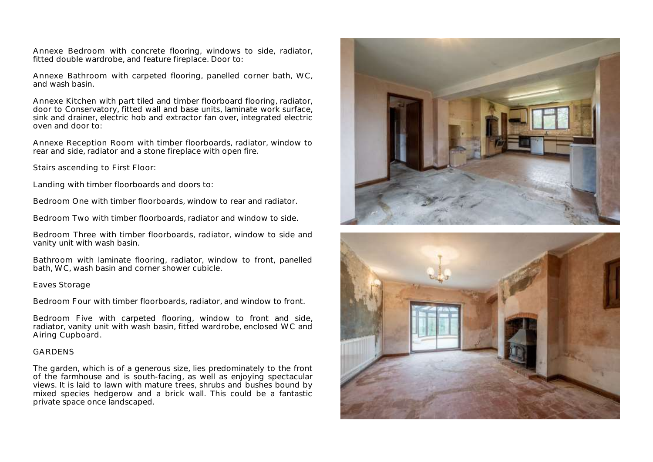Annexe Bedroom with concrete flooring, windows to side, radiator, fitted double wardrobe, and feature fireplace. Door to:

Annexe Bathroom with carpeted flooring, panelled corner bath, WC, and wash basin.

Annexe Kitchen with part tiled and timber floorboard flooring, radiator, door to Conservatory, fitted wall and base units, laminate work surface, sink and drainer, electric hob and extractor fan over, integrated electric oven and door to:

Annexe Reception Room with timber floorboards, radiator, window to rear and side, radiator and a stone fireplace with open fire.

Stairs ascending to First Floor:

Landing with timber floorboards and doors to:

Bedroom One with timber floorboards, window to rear and radiator.

Bedroom Two with timber floorboards, radiator and window to side.

Bedroom Three with timber floorboards, radiator, window to side and vanity unit with wash basin.

Bathroom with laminate flooring, radiator, window to front, panelled bath, WC, wash basin and corner shower cubicle.

Eaves Storage

Bedroom Four with timber floorboards, radiator, and window to front.

Bedroom Five with carpeted flooring, window to front and side, radiator, vanity unit with wash basin, fitted wardrobe, enclosed WC and Airing Cupboard.

## GARDENS

The garden, which is of a generous size, lies predominately to the front of the farmhouse and is south-facing, as well as enjoying spectacular views. It is laid to lawn with mature trees, shrubs and bushes bound by mixed species hedgerow and a brick wall. This could be a fantastic private space once landscaped.



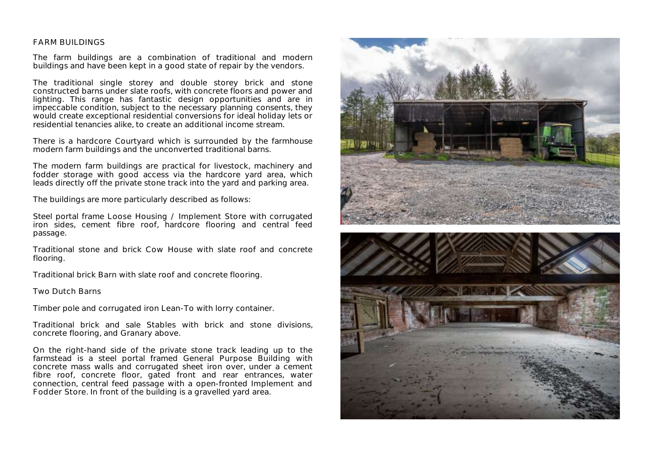#### FARM BUILDINGS

The farm buildings are a combination of traditional and modern buildings and have been kept in a good state of repair by the vendors.

The traditional single storey and double storey brick and stone constructed barns under slate roofs, with concrete floors and power and lighting. This range has fantastic design opportunities and are in impeccable condition, subject to the necessary planning consents, they would create exceptional residential conversions for ideal holiday lets or residential tenancies alike, to create an additional income stream.

There is a hardcore Courtyard which is surrounded by the farmhouse modern farm buildings and the unconverted traditional barns.

The modern farm buildings are practical for livestock, machinery and fodder storage with good access via the hardcore yard area, which leads directly off the private stone track into the yard and parking area.

The buildings are more particularly described as follows:

Steel portal frame Loose Housing / Implement Store with corrugated iron sides, cement fibre roof, hardcore flooring and central feed passage.

Traditional stone and brick Cow House with slate roof and concrete flooring.

Traditional brick Barn with slate roof and concrete flooring.

Two Dutch Barns

Timber pole and corrugated iron Lean-To with lorry container.

Traditional brick and sale Stables with brick and stone divisions, concrete flooring, and Granary above.

On the right-hand side of the private stone track leading up to the farmstead is a steel portal framed General Purpose Building with concrete mass walls and corrugated sheet iron over, under a cement fibre roof, concrete floor, gated front and rear entrances, water connection, central feed passage with a open-fronted Implement and Fodder Store. In front of the building is a gravelled yard area.

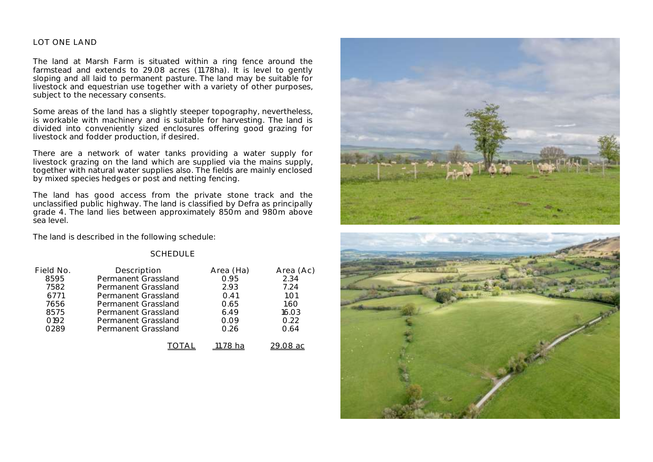## LOT ONE LAND

The land at Marsh Farm is situated within a ring fence around the farmstead and extends to 29.08 acres (11.78ha). It is level to gently sloping and all laid to permanent pasture. The land may be suitable for livestock and equestrian use together with a variety of other purposes, subject to the necessary consents.

Some areas of the land has a slightly steeper topography, nevertheless, is workable with machinery and is suitable for harvesting. The land is divided into conveniently sized enclosures offering good grazing for livestock and fodder production, if desired.

There are a network of water tanks providing a water supply for livestock grazing on the land which are supplied via the mains supply, together with natural water supplies also. The fields are mainly enclosed by mixed species hedges or post and netting fencing.

The land has good access from the private stone track and the unclassified public highway. The land is classified by Defra as principally grade 4. The land lies between approximately 850m and 980m above sea level.

The land is described in the following schedule:

## SCHEDULE<sub></sub>

| Field No. | Description         | Area (Ha) | Area (Ac) |
|-----------|---------------------|-----------|-----------|
| 8595      | Permanent Grassland | 0.95      | 2.34      |
| 7582      | Permanent Grassland | 2.93      | 7.24      |
| 6771      | Permanent Grassland | 0.41      | 1.01      |
| 7656      | Permanent Grassland | 0.65      | 1.60      |
| 8575      | Permanent Grassland | 6.49      | 16.03     |
| 0192      | Permanent Grassland | 0.09      | 0.22      |
| 0289      | Permanent Grassland | 0.26      | 0.64      |
|           |                     |           | 29.O8 ac  |



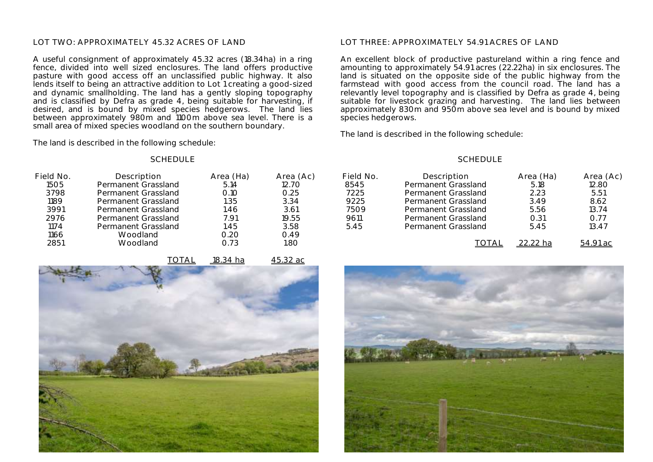## LOT TWO: APPROXIMATELY 45.32 ACRES OF LAND

A useful consignment of approximately 45.32 acres (18.34ha) in a ring fence, divided into well sized enclosures. The land offers productive pasture with good access off an unclassified public highway. It also lends itself to being an attractive addition to Lot 1 creating a good-sized and dynamic smallholding. The land has a gently sloping topography and is classified by Defra as grade 4, being suitable for harvesting, if desired, and is bound by mixed species hedgerows. The land lies between approximately 980m and 1100m above sea level. There is a small area of mixed species woodland on the southern boundary.

The land is described in the following schedule:

## SCHEDULE<sub></sub>

| Field No. | Description         | Area (Ha) | Area (Ac) |
|-----------|---------------------|-----------|-----------|
| 1505      | Permanent Grassland | 5.14      | 12.70     |
| 3798      | Permanent Grassland | 0.10      | 0.25      |
| 1189      | Permanent Grassland | 1.35      | 3.34      |
| 3991      | Permanent Grassland | 1.46      | 3.61      |
| 2976      | Permanent Grassland | 7.91      | 19.55     |
| 1174      | Permanent Grassland | 1.45      | 3.58      |
| 1166      | Woodland            | 0.20      | 0.49      |
| 2851      | Woodland            | O 73      | 1 RO      |



## LOT THREE: APPROXIMATELY 54.91 ACRES OF LAND

An excellent block of productive pastureland within a ring fence and amounting to approximately 54.91 acres (22.22ha) in six enclosures. The land is situated on the opposite side of the public highway from the farmstead with good access from the council road. The land has a relevantly level topography and is classified by Defra as grade 4, being suitable for livestock grazing and harvesting. The land lies between approximately 830m and 950m above sea level and is bound by mixed species hedgerows.

The land is described in the following schedule:

## SCHEDULE

| Field No. | Description         | Area (Ha) | Area (Ac) |
|-----------|---------------------|-----------|-----------|
| 8545      | Permanent Grassland | 5.18      | 12.80     |
| 7225      | Permanent Grassland | 2.23      | 5.51      |
| 9225      | Permanent Grassland | 3.49      | 8.62      |
| 7509      | Permanent Grassland | 5.56      | 13.74     |
| 9611      | Permanent Grassland | 0.31      | 0.77      |
| 5.45      | Permanent Grassland | 5.45      | 13.47     |
|           |                     |           |           |

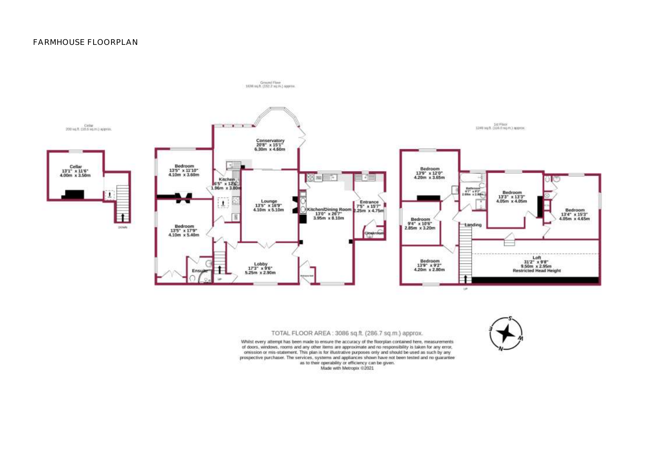## FARMHOUSE FLOORPLAN



TOTAL FLOOR AREA : 3086 sq.ft. (286.7 sq.m.) approx.



Whilst every attempt has been made to ensure the accuracy of the floorplan contained here, measurements of doors, windows, rooms and any other items are approximate and no responsibility is taken for any error, omission or mis-statement. This plan is for illustrative purposes only and should be used as such by any prospective purchaser. The services, systems and appliances shown have not been tested and no guarantee as to their operability or efficiency can be given. Made with Metropix @2021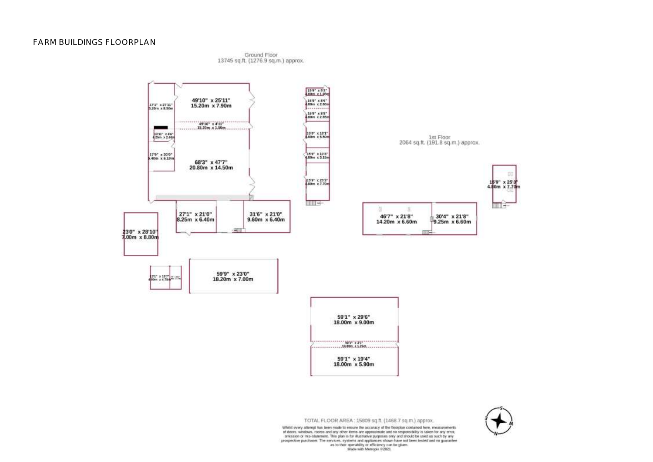## **FARM BUILDINGS FLOORPLAN**

Ground Floor 13745 sq.ft. (1276.9 sq.m.) approx.



TOTAL FLOOR AREA : 15809 sq.ft. (1468.7 sq.m.) approx.

Whitst every attempt has been made to ensure the accuracy of the floorplan contained here, measurements of doors, which we not the means are approximate and no responsibility is taken for any error, orission or mis-statement. The plan is for illustrative purposes only and should be used as such by any prospective purchaser.

Made with Metropix 6/2021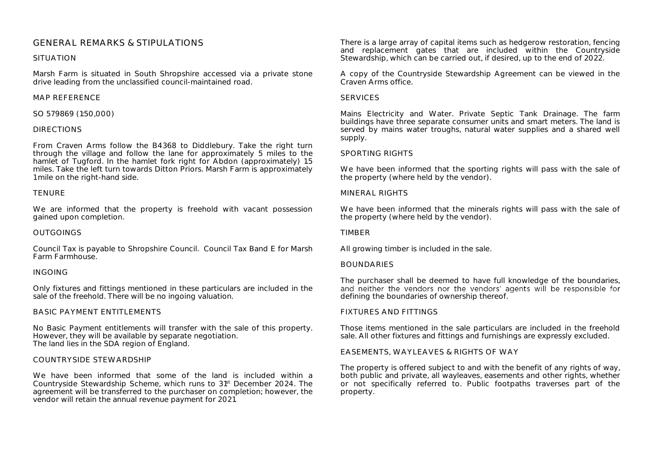# GENERAL REMARKS & STIPULATIONS

## SITUATION

Marsh Farm is situated in South Shropshire accessed via a private stone drive leading from the unclassified council-maintained road.

## MAP REFERENCE

SO 579869 (1:50,000)

## **DIRECTIONS**

From Craven Arms follow the B4368 to Diddlebury. Take the right turn through the village and follow the lane for approximately 5 miles to the hamlet of Tugford. In the hamlet fork right for Abdon (approximately) 1.5 miles. Take the left turn towards Ditton Priors. Marsh Farm is approximately 1 mile on the right-hand side.

## TENURE

We are informed that the property is freehold with vacant possession gained upon completion.

## OUTGOINGS

Council Tax is payable to Shropshire Council. Council Tax Band E for Marsh Farm Farmhouse.

## INGOING

Only fixtures and fittings mentioned in these particulars are included in the sale of the freehold. There will be no ingoing valuation.

## BASIC PAYMENT ENTITLEMENTS

No Basic Payment entitlements will transfer with the sale of this property. However, they will be available by separate negotiation. The land lies in the SDA region of England.

## COUNTRYSIDE STEWARDSHIP

We have been informed that some of the land is included within a Countryside Stewardship Scheme, which runs to 31st December 2024. The agreement will be transferred to the purchaser on completion; however, the vendor will retain the annual revenue payment for 2021.

There is a large array of capital items such as hedgerow restoration, fencing and replacement gates that are included within the Countryside Stewardship, which can be carried out, if desired, up to the end of 2022.

A copy of the Countryside Stewardship Agreement can be viewed in the Craven Arms office.

## **SERVICES**

Mains Electricity and Water. Private Septic Tank Drainage. The farm buildings have three separate consumer units and smart meters. The land is served by mains water troughs, natural water supplies and a shared well supply.

## SPORTING RIGHTS

We have been informed that the sporting rights will pass with the sale of the property (where held by the vendor).

## MINERAL RIGHTS

We have been informed that the minerals rights will pass with the sale of the property (where held by the vendor).

## TIMBER

All growing timber is included in the sale.

## BOUNDARIES

The purchaser shall be deemed to have full knowledge of the boundaries, and neither the vendors nor the vendors' agents will be responsible for defining the boundaries of ownership thereof.

## FIXTURES AND FITTINGS

Those items mentioned in the sale particulars are included in the freehold sale. All other fixtures and fittings and furnishings are expressly excluded.

## EASEMENTS, WAYLEAVES & RIGHTS OF WAY

The property is offered subject to and with the benefit of any rights of way, both public and private, all wayleaves, easements and other rights, whether or not specifically referred to. Public footpaths traverses part of the property.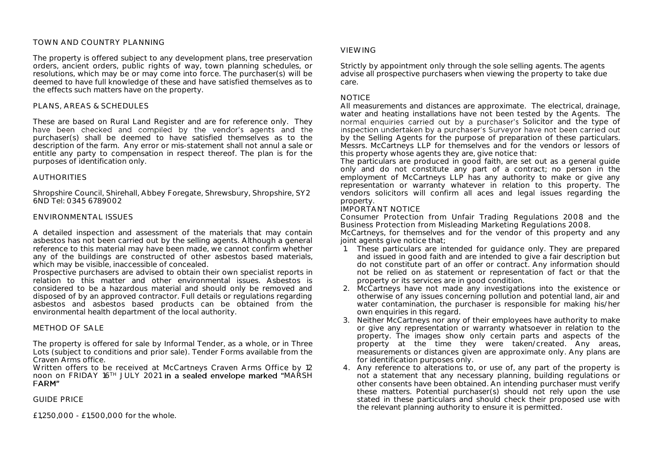#### TOWN AND COUNTRY PLANNING

The property is offered subject to any development plans, tree preservation orders, ancient orders, public rights of way, town planning schedules, or resolutions, which may be or may come into force. The purchaser(s) will be deemed to have full knowledge of these and have satisfied themselves as to the effects such matters have on the property.

#### PLANS, AREAS & SCHEDULES

These are based on Rural Land Register and are for reference only. They have been checked and compiled by the vendor's agents and the purchaser(s) shall be deemed to have satisfied themselves as to the description of the farm. Any error or mis-statement shall not annul a sale or entitle any party to compensation in respect thereof. The plan is for the purposes of identification only.

#### **AUTHORITIES**

Shropshire Council, Shirehall, Abbey Foregate, Shrewsbury, Shropshire, SY2 6ND Tel: 0345 6789002

#### ENVIRONMENTAL ISSUES

A detailed inspection and assessment of the materials that may contain asbestos has not been carried out by the selling agents. Although a general reference to this material may have been made, we cannot confirm whether any of the buildings are constructed of other asbestos based materials, which may be visible, inaccessible of concealed.

Prospective purchasers are advised to obtain their own specialist reports in relation to this matter and other environmental issues. Asbestos is considered to be a hazardous material and should only be removed and disposed of by an approved contractor. Full details or regulations regarding asbestos and asbestos based products can be obtained from the environmental health department of the local authority.

## METHOD OF SALE

The property is offered for sale by Informal Tender, as a whole, or in Three Lots (subject to conditions and prior sale). Tender Forms available from the Craven Arms office.

Written offers to be received at McCartneys Craven Arms Office by 12 noon on FRIDAY 16<sup>TH</sup> JULY 2021 in a sealed envelope marked "MARSH **FARM"** 

## GUIDE PRICE

£1,250,000 - £1,500,000 for the whole.

## **VIEWING**

Strictly by appointment only through the sole selling agents. The agents advise all prospective purchasers when viewing the property to take due care.

#### NOTICE

All measurements and distances are approximate. The electrical, drainage, water and heating installations have not been tested by the Agents. The normal enquiries carried out by a purchaser's Solicitor and the type of inspection undertaken by a purchaser's Surveyor have not been carried out by the Selling Agents for the purpose of preparation of these particulars. Messrs. McCartneys LLP for themselves and for the vendors or lessors of this property whose agents they are, give notice that:

The particulars are produced in good faith, are set out as a general guide only and do not constitute any part of a contract; no person in the employment of McCartneys LLP has any authority to make or give any representation or warranty whatever in relation to this property. The vendors solicitors will confirm all aces and legal issues regarding the property.

## IMPORTANT NOTICE

Consumer Protection from Unfair Trading Regulations 2008 and the Business Protection from Misleading Marketing Regulations 2008.

McCartneys, for themselves and for the vendor of this property and any joint agents give notice that;

- 1. These particulars are intended for guidance only. They are prepared and issued in good faith and are intended to give a fair description but do not constitute part of an offer or contract. Any information should not be relied on as statement or representation of fact or that the property or its services are in good condition.
- 2. McCartneys have not made any investigations into the existence or otherwise of any issues concerning pollution and potential land, air and water contamination, the purchaser is responsible for making his/her own enquiries in this regard.
- 3. Neither McCartneys nor any of their employees have authority to make or give any representation or warranty whatsoever in relation to the property. The images show only certain parts and aspects of the property at the time they were taken/created. Any areas, measurements or distances given are approximate only. Any plans are for identification purposes only.
- 4. Any reference to alterations to, or use of, any part of the property is not a statement that any necessary planning, building regulations or other consents have been obtained. An intending purchaser must verify these matters. Potential purchaser(s) should not rely upon the use stated in these particulars and should check their proposed use with the relevant planning authority to ensure it is permitted.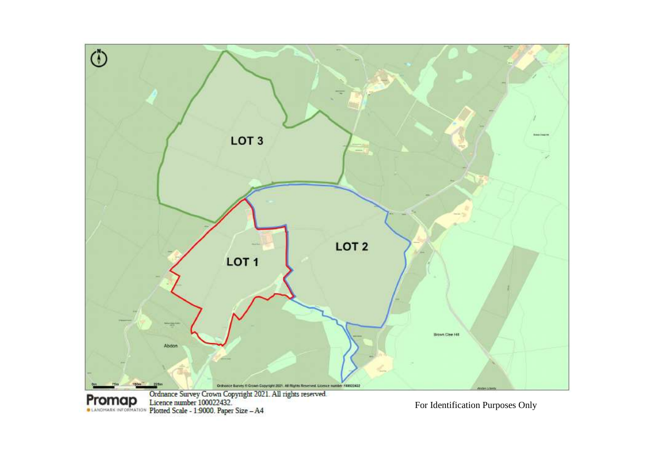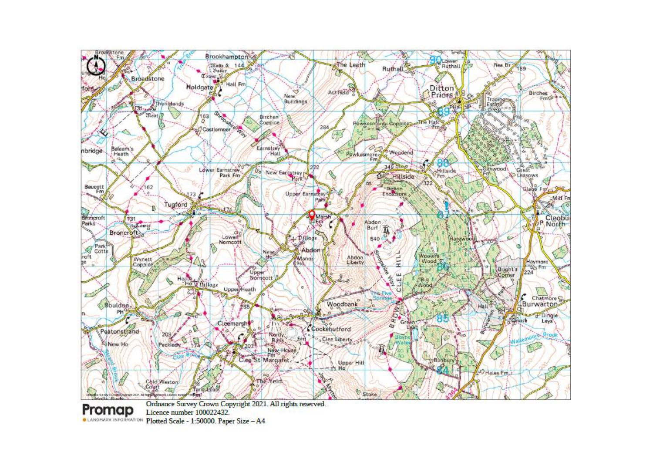

**CLANDMARK INFORMATION Plotted Scale - 1:50000. Paper Size - A4**